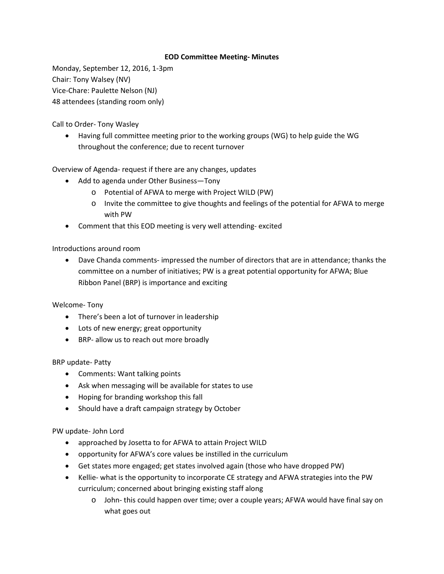## **EOD Committee Meeting- Minutes**

Monday, September 12, 2016, 1-3pm Chair: Tony Walsey (NV) Vice-Chare: Paulette Nelson (NJ) 48 attendees (standing room only)

Call to Order- Tony Wasley

• Having full committee meeting prior to the working groups (WG) to help guide the WG throughout the conference; due to recent turnover

Overview of Agenda- request if there are any changes, updates

- Add to agenda under Other Business—Tony
	- o Potential of AFWA to merge with Project WILD (PW)
	- o Invite the committee to give thoughts and feelings of the potential for AFWA to merge with PW
- Comment that this EOD meeting is very well attending- excited

Introductions around room

• Dave Chanda comments- impressed the number of directors that are in attendance; thanks the committee on a number of initiatives; PW is a great potential opportunity for AFWA; Blue Ribbon Panel (BRP) is importance and exciting

Welcome- Tony

- There's been a lot of turnover in leadership
- Lots of new energy; great opportunity
- BRP- allow us to reach out more broadly

BRP update- Patty

- Comments: Want talking points
- Ask when messaging will be available for states to use
- Hoping for branding workshop this fall
- Should have a draft campaign strategy by October

PW update- John Lord

- approached by Josetta to for AFWA to attain Project WILD
- opportunity for AFWA's core values be instilled in the curriculum
- Get states more engaged; get states involved again (those who have dropped PW)
- Kellie- what is the opportunity to incorporate CE strategy and AFWA strategies into the PW curriculum; concerned about bringing existing staff along
	- o John- this could happen over time; over a couple years; AFWA would have final say on what goes out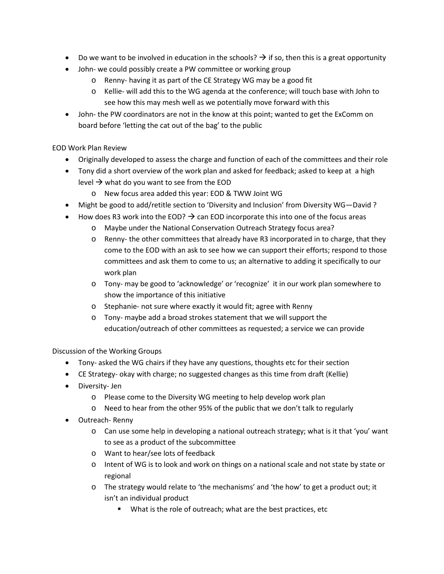- Do we want to be involved in education in the schools?  $\rightarrow$  if so, then this is a great opportunity
- John- we could possibly create a PW committee or working group
	- o Renny- having it as part of the CE Strategy WG may be a good fit
	- o Kellie- will add this to the WG agenda at the conference; will touch base with John to see how this may mesh well as we potentially move forward with this
- John- the PW coordinators are not in the know at this point; wanted to get the ExComm on board before 'letting the cat out of the bag' to the public

## EOD Work Plan Review

- Originally developed to assess the charge and function of each of the committees and their role
- Tony did a short overview of the work plan and asked for feedback; asked to keep at a high level  $\rightarrow$  what do you want to see from the EOD
	- o New focus area added this year: EOD & TWW Joint WG
- Might be good to add/retitle section to 'Diversity and Inclusion' from Diversity WG—David ?
- How does R3 work into the EOD?  $\rightarrow$  can EOD incorporate this into one of the focus areas
	- o Maybe under the National Conservation Outreach Strategy focus area?
	- o Renny- the other committees that already have R3 incorporated in to charge, that they come to the EOD with an ask to see how we can support their efforts; respond to those committees and ask them to come to us; an alternative to adding it specifically to our work plan
	- o Tony- may be good to 'acknowledge' or 'recognize' it in our work plan somewhere to show the importance of this initiative
	- o Stephanie- not sure where exactly it would fit; agree with Renny
	- o Tony- maybe add a broad strokes statement that we will support the education/outreach of other committees as requested; a service we can provide

## Discussion of the Working Groups

- Tony- asked the WG chairs if they have any questions, thoughts etc for their section
- CE Strategy- okay with charge; no suggested changes as this time from draft (Kellie)
- Diversity- Jen
	- o Please come to the Diversity WG meeting to help develop work plan
	- o Need to hear from the other 95% of the public that we don't talk to regularly
- Outreach- Renny
	- o Can use some help in developing a national outreach strategy; what is it that 'you' want to see as a product of the subcommittee
	- o Want to hear/see lots of feedback
	- o Intent of WG is to look and work on things on a national scale and not state by state or regional
	- o The strategy would relate to 'the mechanisms' and 'the how' to get a product out; it isn't an individual product
		- What is the role of outreach; what are the best practices, etc